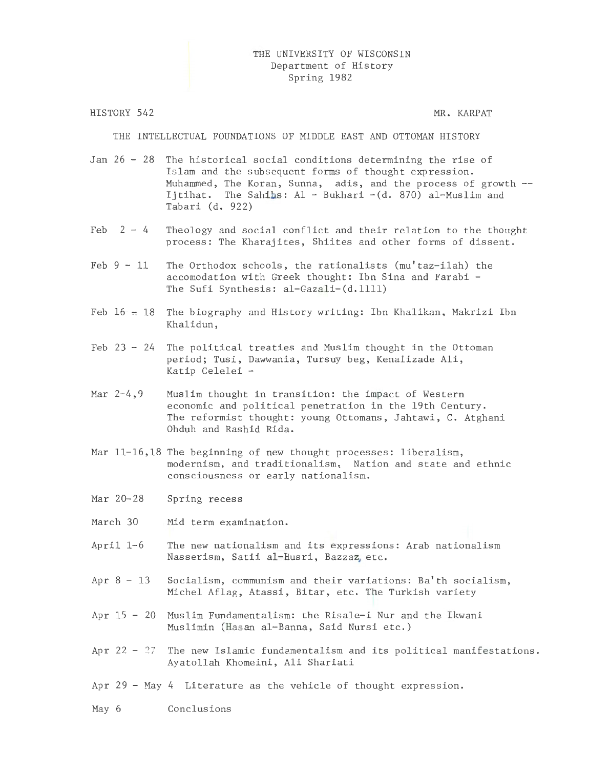# THE UNIVERSITY OF WISCONSIN Department of History Spring 1982

HISTORY 542

MR. KARPAT

THE INTELLECTUAL FOUNDATIONS OF MIDDLE EAST AND OTTOMAN HISTORY

Jan 26 - 28 The historical social conditions determining the rise of Islam and the subsequent forms of thought expression. Muhammed, The Koran, Sunna, adis, and the process of growth Ijtihat. The Sahihs: Al- Bukhari -(d. 870) al-Muslim and Tabari (d. 922)

- Feb  $2 4$  Theology and social conflict and their relation to the thought process: The Kharajites, Shiites and other forms of dissent.
- Feb  $9 11$  The Orthodox schools, the rationalists (mu'taz-ilah) the accomodation with Greek thought: Ibn Sina and Farabi - The Sufi Synthesis: al-Gazali-(d.llll)
- Feb  $16 18$  The biography and History writing: Ibn Khalikan, Makrizi Ibn Khalidun,
- Feb  $23 24$  The political treaties and Muslim thought in the Ottoman period; Tusi, Dawwania, Tursuy beg, Kenalizade Ali, Katip Celelei -
- Mar 2-4,9 Muslim thought in transition: the impact of Western economic and political penetration in the 19th Century. The reformist thought: young Ottomans, Jahtawi, C. Atghani Ohduh and Rashid Rida.
- Mar  $11-16$ , 18 The beginning of new thought processes: liberalism, modernism, and traditionalism, Nation and state and ethnic consciousness or early nationalism.
- Mar 20-28 Spring recess
- March 30 Mid term examination.
- April 1-6 The new nationalism and its expressions: Arab nationalism Nasserism, Satii al-Husri, Bazzaz, etc.
- Apr  $8 13$  Socialism, communism and their variations: Ba'th socialism, Michel Aflag, Atassi, Bitar, etc. The Turkish variety
- Apr 15 20 Muslim Fundamentalism: the Risale-i Nur and the Ikwani Muslimin (Hasan al-Banna, Said Nursi etc.)
- Apr 22 27 The new Islamic fundamentalism and its political manifestations. Ayatollah Khomeini, Ali Shariati
- Apr 29 May 4 Literature as the vehicle of thought expression.

May 6 Conclusions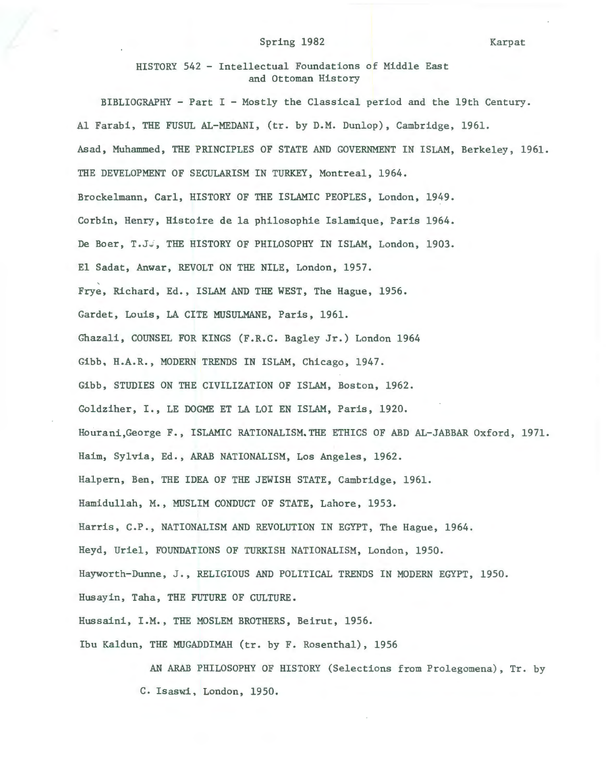### Spring 1982

Karp at

HISTORY 542 - Intellectual Foundations of Middle East and Ottoman History

BIBLIOGRAPHY - Part I - Mostly the Classical period and the 19th Century. Al Farabi, THE FUSUL AL-MEDANI, (tr. by D.M. Dunlop), Cambridge, 1961. Asad, Muhammed, THE PRINCIPLES OF STATE AND GOVERNMENT IN ISLAM, Berkeley, 1961. THE DEVELOPMENT OF SECULARISM IN TURKEY, Montreal, 1964. Brockelmann, Carl, HISTORY OF THE ISLAMIC PEOPLES, London, 1949. Corbin, Henry, Histoire de la philosophie Islamique, Paris 1964. De Boer, T.JJ, THE HISTORY OF PHILOSOPHY IN ISLAM, London, 1903. El Sadat, Anwar, REVOLT ON THE NILE, London, 1957. Frye, Richard, Ed., ISLAM AND THE WEST, The Hague, 1956. Gardet, Louis, LA CITE MUSULMANE, Paris, 1961. Ghazali, COUNSEL FOR KINGS (F.R.C. Bagley Jr.) London 1964 Gibb, H.A.R., MODERN TRENDS IN ISLAM, Chicago, 1947. Gibb, STUDIES ON THE CIVILIZATION OF ISLAM, Boston, 1962. Goldziher, I., LE DOGME ET LA LOI EN ISLAM, Paris, 1920. Hourani,George F., ISLAMIC RATIONALISM.THE ETHICS OF ABD AL-JABBAR Oxford, 1971. Haim, Sylvia, Ed., ARAB NATIONALISM, Los Angeles, 1962. Halpern, Ben, THE IDEA OF THE JEWISH STATE, Cambridge, 1961. Hamidullah, M., MUSLIM CONDUCT OF STATE, Lahore, 1953. Harris, C.P., NATIONALISM AND REVOLUTION IN EGYPT, The Hague, 1964. Heyd, Uriel, FOUNDATIONS OF TURKISH NATIONALISM, London, 1950. Hayworth-Dunne, J., RELIGIOUS AND POLITICAL TRENDS IN MODERN EGYPT, 1950. Husayin, Taha, THE FUTURE OF CULTURE. Hussaini, I.M., THE MOSLEM BROTHERS, Beirut, 1956. Ibu Kaldun, THE MUGADDIMAH (tr. by F. Rosenthal), 1956

> AN ARAB PHILOSOPHY OF HISTORY (Selections from Prolegomena) , Tr. by C. Isaswi, London, 1950.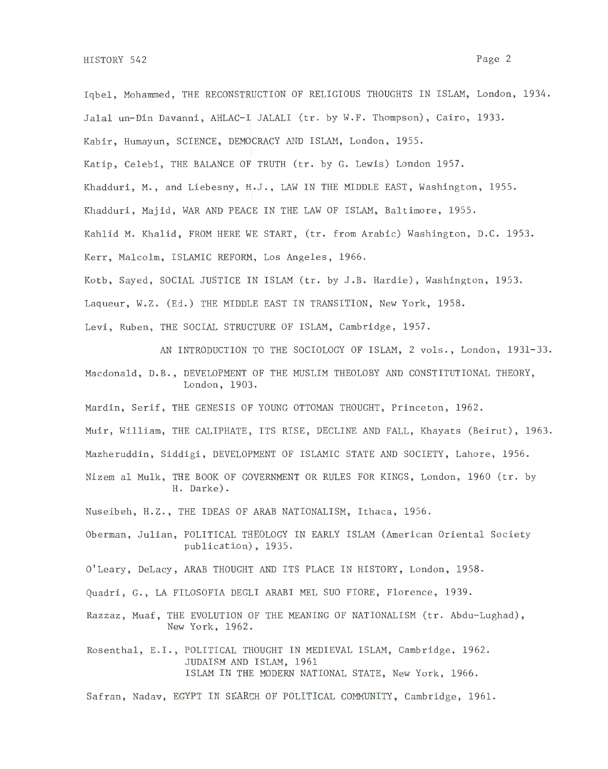Iqbel, Mohammed, THE RECONSTRUCTION OF RELIGIOUS THOUGHTS IN ISLAM, London, 1934. Jalal un-Din Davanni, AHLAC-I JALALI (tr. by W.F. Thompson), Cairo, 1933. Kabir, Humayun, SCIENCE, DEMOCRACY AND ISLAM, London, 1955. Katip, Celebi, THE BALANCE OF TRUTH (tr. by G. Lewis) London 1957. Khadduri, M., and Liebesny, H.J., LAW IN THE MIDDLE EAST, Washington, 1955. Khadduri, Majid, WAR AND PEACE IN THE LAW OF ISLAM, Baltimore, 1955. Kahlid M. Khalid, FROM HERE WE START, (tr. from Arabic) Washington, D.C. 1953. Kerr, Malcolm, ISLAMIC REFORM, Los Angeles, 1966. Kotb, Sayed, SOCIAL JUSTICE IN ISLAM (tr. by J.B. Hardie), Washington, 1953. Laqueur, W.Z. (Ed.) THE MIDDLE EAST IN TRANSITION, New York, 1958. Levi, Ruben, THE SOCIAL STRUCTURE OF ISLAM, Cambridge, 1957.

AN INTRODUCTION TO THE SOCIOLOGY OF ISLAM, 2 vols., London, 1931-33.

Macdonald, D.B., DEVELOPMENT OF THE MUSLIM THEOLOBY AND CONSTITUTIONAL THEORY, London, 1903.

Mardin, Serif, THE GENESIS OF YOUNG OTTOMAN THOUGHT, Princeton, 1962.

Muir, William, THE CALIPHATE, ITS RISE, DECLINE AND FALL, Khayats (Beirut), 1963.

Mazheruddin, Siddigi, DEVELOPMENT OF ISLAMIC STATE AND SOCIETY, Lahore, 1956.

Nizem al Mulk, THE BOOK OF GOVERNMENT OR RULES FOR KINGS, London, 1960 (tr. by H. Darke).

Nuseibeh, H.Z., THE IDEAS OF ARAB NATIONALISM, Ithaca, 1956.

Oberman, Julian, POLITICAL THEOLOGY IN EARLY ISLAM (American Oriental Society publication), 1935.

O'Leary, DeLacy, ARAB THOUGHT AND ITS PLACE IN HISTORY, London, 1958 ..

Quadri, G., LA FILOSOFIA DEGLI ARABI MEL SUO FIORE, Florence, 1939.

Razzaz, Muaf, THE EVOLUTION OF THE MEANING OF NATIONALISM (tr. Abdu-Lughad), New York, 1962.

Rosenthal, E.I., POLITICAL THOUGHT IN MEDIEVAL ISLAM, Cambridge, 1962. JUDAISM AND ISLAM, 1961 ISLAM IN THE MODERN NATIONAL STATE, New York, 1966.

Safran, Nadav, EGYPT IN SEARCH OF POLITICAL COMMUNITY, Cambridge, 1961.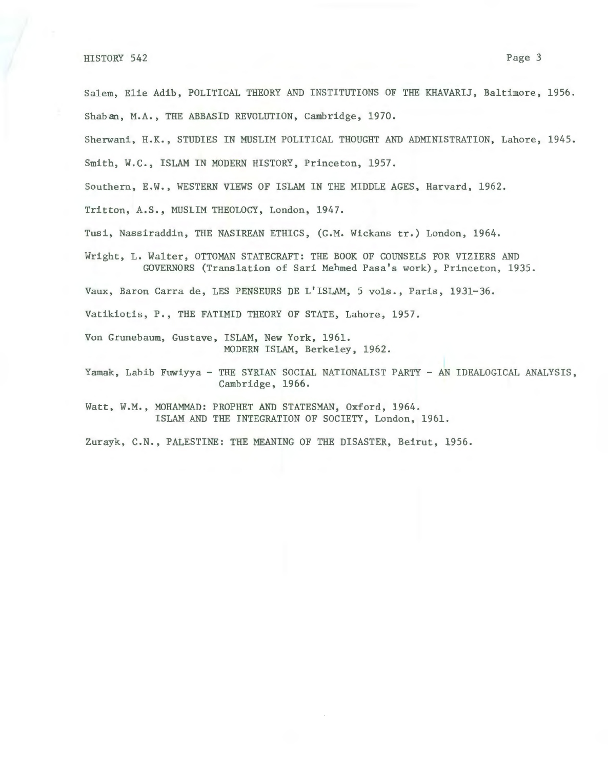Salem, Elie Adib, POLITICAL THEORY AND INSTITUTIONS OF THE KHAVARIJ, Baltimore, 1956. Shaban, M.A., THE ABBASID REVOLUTION, Cambridge, 1970.

Sherwani, H.K., STUDIES IN MUSLIM POLITICAL THOUGHT AND ADMINISTRATION, Lahore, 1945.

Smith, W.C., ISLAM IN MODERN HISTORY, Princeton, 1957.

Southern, E.W., WESTERN VIEWS OF ISLAM IN THE MIDDLE AGES, Harvard, 1962.

Tritton, A.S., MUSLIM THEOLOGY, London, 1947.

Tusi, Nassiraddin, THE NASIREAN ETHICS, (G.M. Wickans tr.) London, 1964.

Wright, L. Walter, OTTOMAN STATECRAFT: THE BOOK OF COUNSELS FOR VIZIERS AND GOVERNORS (Translation of Sari Mehmed Pasa's work), Princeton, 1935.

Vaux, Baron Carra de, LES PENSEURS DE L'ISLAM, 5 vols., Paris, 1931-36.

Vatikiotis, P., THE FATIMID THEORY OF STATE, Lahore, 1957.

Von Grunebaum, Gustave, ISLAM, New York, 1961. MODERN ISLAM, Berkeley, 1962.

Yamak, Labib Fuwiyya- THE SYRIAN SOCIAL NATIONALIST PARTY - AN IDEALOGICAL ANALYSIS, Cambridge, 1966.

Watt, W.M., MOHAMMAD: PROPHET AND STATESMAN, Oxford, 1964. ISLAM AND THE INTEGRATION OF SOCIETY, London, 1961.

Zurayk, C.N., PALESTINE: THE MEANING OF THE DISASTER, Beirut, 1956.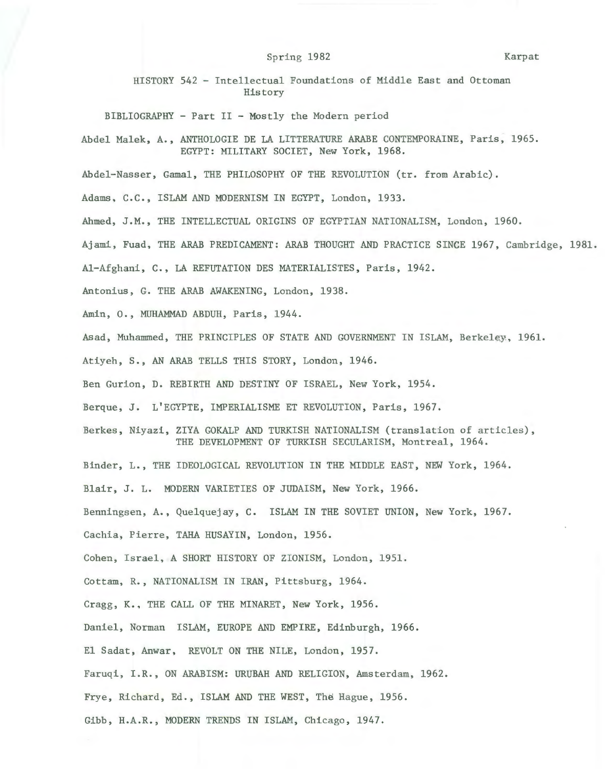#### Spring 1982 Karpat

HISTORY 542 - Intellectual Foundations of Middle East and Ottoman History

BIBLIOGRAPHY - Part II - Mostly the Modern period

Abdel Malek, A., ANTHOLOGIE DE LA LITTERATURE ARABE CONTEMPORAINE, Paris, 1965. EGYPT: MILITARY SOCIET, New York, 1968.

Abdel-Nasser , Gamal, THE PHILOSOPHY OF THE REVOLUTION (tr. from Arabic).

Adams, C.C., ISLAM AND MODERNISM IN EGYPT, London, 1933.

Ahmed, J.M., THE INTELLECTUAL ORIGINS OF EGYPTIAN NATIONALISM, London, 1960.

Ajami, Fuad, THE ARAB PREDICAMENT: ARAB THOUGHT AND PRACTICE SINCE 1967, Cambridge, 1981.

Al-Afghani, C., LA REFUTATION DES MATERIALISTES, Paris, 1942.

Antonius , G. THE ARAB AWAKENING, London, 1938.

Amin, 0., MUHAMMAD ABDUH, Paris, 1944.

Asad, Muhammed, THE PRINCIPLES OF STATE AND GOVERNMENT IN ISLAM, Berkeley, 1961.

Atiyeh, S., AN ARAB TELLS THIS STORY, London, 1946.

Ben Gurian, D. REBIRTH AND DESTINY OF ISRAEL, New York, 1954.

Berque, J. L'EGYPTE, IMPERIALISME ET REVOLUTION, Paris, 1967.

Berkes, Niyazi, ZIYA GOKALP AND TURKISH NATIONALISM (translation of articles), THE DEVELOPMENT OF TURKISH SECULARISM, Montreal, 1964.

Binder, L., THE IDEOLOGICAL REVOLUTION IN THE MIDDLE EAST, NEW York, 1964.

Blair, J. L. MODERN VARIETIES OF JUDAISM, New York, 1966.

Benningsen, A., Quelquejay, C. ISLAM IN THE SOVIET UNION, New York, 1967.

Cachia, Pierre, TAHA HUSAYIN, London, 1956.

Cohen, Israel, A SHORT HISTORY OF ZIONISM, London, 1951.

Cottam, R., NATIONALISM IN IRAN, Pittsburg, 1964.

Cragg, K., THE CALL OF THE MINARET, New York, 1956.

Daniel, Norman ISLAM, EUROPE AND EMPIRE, Edinburgh, 1966.

El Sadat, Anwar, REVOLT ON THE NILE, London, 1957.

Faruqi, I.R., ON ARABISM: URUBAH AND RELIGION, Amsterdam, 1962.

Frye, Richard, Ed., ISLAM AND THE WEST, The Hague, 1956.

Gibb, H.A.R., MODERN TRENDS IN ISLAM, Chicago, 1947.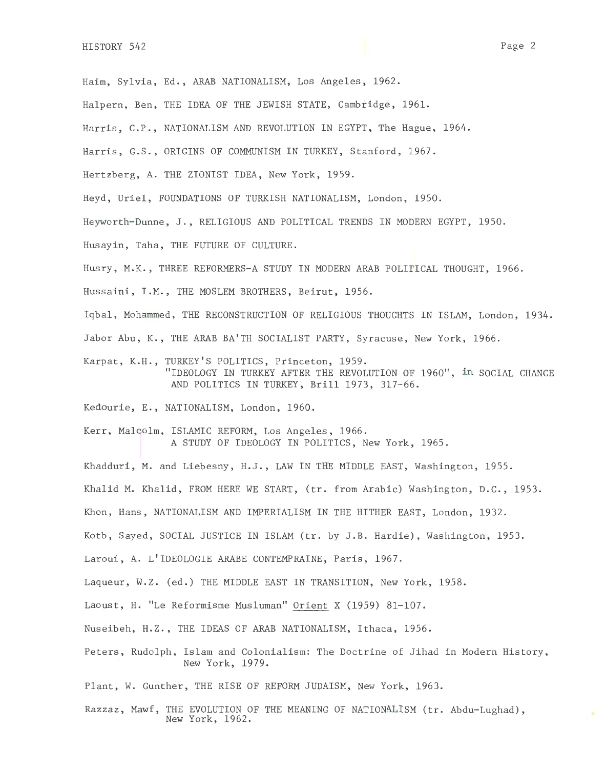Haim, Sylvia, Ed., ARAB NATIONALISM, Los Angeles, 1962.

Halpern, Ben, THE IDEA OF THE JEWISH STATE, Cambridge, 1961.

Harris, C.P., NATIONALISM AND REVOLUTION IN EGYPT, The Hague, 1964.

Harris, G.S., ORIGINS OF COMMUNISM IN TURKEY, Stanford, 1967.

Hertzberg, A. THE ZIONIST IDEA, New York, 1959.

Heyd, Uriel, FOUNDATIONS OF TURKISH NATIONALISM, London, 1950.

Heyworth-Dunne, J., RELIGIOUS AND POLITICAL TRENDS IN MODERN EGYPT, 1950.

Husayin, Taha, THE FUTURE OF CULTURE.

Husry, M.K., THREE REFORMERS-A STUDY IN MODERN ARAB POLITICAL THOUGHT, 1966.

Hussaini, I.M., THE MOSLEM BROTHERS, Beirut, 1956.

Iqbal, Mohammed, THE RECONSTRUCTION OF RELIGIOUS THOUGHTS IN ISLAM, London, 1934.

Jabor Abu, K., THE ARAB BA'TH SOCIALIST PARTY, Syracuse, New York, 1966.

Karpat, K.H., TURKEY'S POLITICS, Princeton, 1959. "IDEOLOGY IN TURKEY AFTER THE REVOLUTION OF 1960", in SOCIAL CHANGE AND POLITICS IN TURKEY, Brill 1973, 317-66.

Kedourie, E., NATIONALISM, London, 1960.

Kerr, Malcolm, ISLAMIC REFORM, Los Angeles, 1966. A STUDY OF IDEOLOGY IN POLITICS, New York, 1965.

Khadduri, M. and Liebesny, H.J., LAW IN THE MIDDLE EAST, Washington, 1955.

Khalid M. Khalid, FROM HERE WE START, (tr. from Arabic) Washington, D.C., 1953.

Khon, Hans, NATIONALISM AND IMPERIALISM IN THE HITHER EAST, London, 1932.

Kotb, Sayed, SOCIAL JUSTICE IN ISLAM (tr. by J.B. Hardie), Washington, 1953.

Laroui, A. L'IDEOLOGIE ARABE CONTEMPRAINE, Paris, 1967.

Laqueur, W.Z. (ed.) THE MIDDLE EAST IN TRANSITION, New York, 1958.

Laoust, H. "Le Reformisme Musluman" Orient X (1959) 81-107.

Nuseibeh, H.Z., THE IDEAS OF ARAB NATIONALISM, Ithaca, 1956.

Peters, Rudolph, Islam and Colonialism: The Doctrine of Jihad in Modern History, New York, 1979.

Plant, W. Gunther, THE RISE OF REFORM JUDAISM, New York, 1963.

Razzaz, Mawf, THE EVOLUTION OF THE MEANING OF NATIONALISM (tr. Abdu-Lughad), New York, 1962.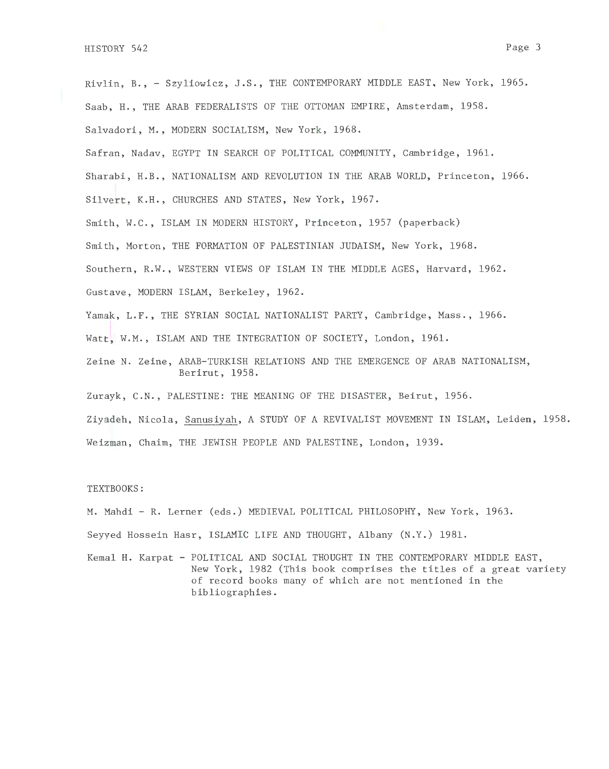Rivlin, B.,- Szyliowicz, J.S., THE CONTEMPORARY MIDDLE EAST, New York, 1965. Saab, H., THE ARAB FEDERALISTS OF THE OTTOMAN EMPIRE, Amsterdam, 1958. Salvadori, M., MODERN SOCIALISM, New York, 1968. Safran, Nadav, EGYPT IN SEARCH OF POLITICAL COMMUNITY, Cambridge, 1961. Sharabi, H.B., NATIONALISM AND REVOLUTION IN THE ARAB WORLD, Princeton, 1966. Silvert, K.H., CHURCHES AND STATES, New York, 1967. Smith, W.C., ISLAM IN MODERN HISTORY, Princeton, 1957 (paperback) Smith, Morton, THE FORMATION OF PALESTINIAN JUDAISM, New York, 1968. Southern, R.W., WESTERN VIEWS OF ISLAM IN THE MIDDLE AGES, Harvard, 1962. Gustave, MODERN ISLAM, Berkeley, 1962. Yamak, L.F., THE SYRIAN SOCIAL NATIONALIST PARTY, Cambridge, Mass., 1966. Watt, W.M., ISLAM AND THE INTEGRATION OF SOCIETY, London, 1961. Zeine N. Zeine, ARAB-TURKISH RELATIONS AND THE EMERGENCE OF ARAB NATIONALISM, Berirut, 1958.

Zurayk, C.N., PALESTINE: THE MEANING OF THE DISASTER, Beirut, 1956.

Ziyadeh, Nicola, Sanusiyah, A STUDY OF A REVIVALIST MOVEMENT IN ISLAM, Leiden, 1958. Weizman, Chaim, THE JEWISH PEOPLE AND PALESTINE, London, 1939.

## TEXTBOOKS:

M. Mahdi- R. Lerner (eds.) MEDIEVAL POLITICAL PHILOSOPHY, New York, 1963. Seyyed Hossein Hasr, ISLAMIC LIFE AND THOUGHT, Albany (N.Y.) 1981.

Kemal H. Karpat - POLITICAL AND SOCIAL THOUGHT IN THE CONTEMPORARY MIDDLE EAST, New York, 1982 (This book comprises the titles of a great variety of record books many of which are not mentioned in the bibliographies.